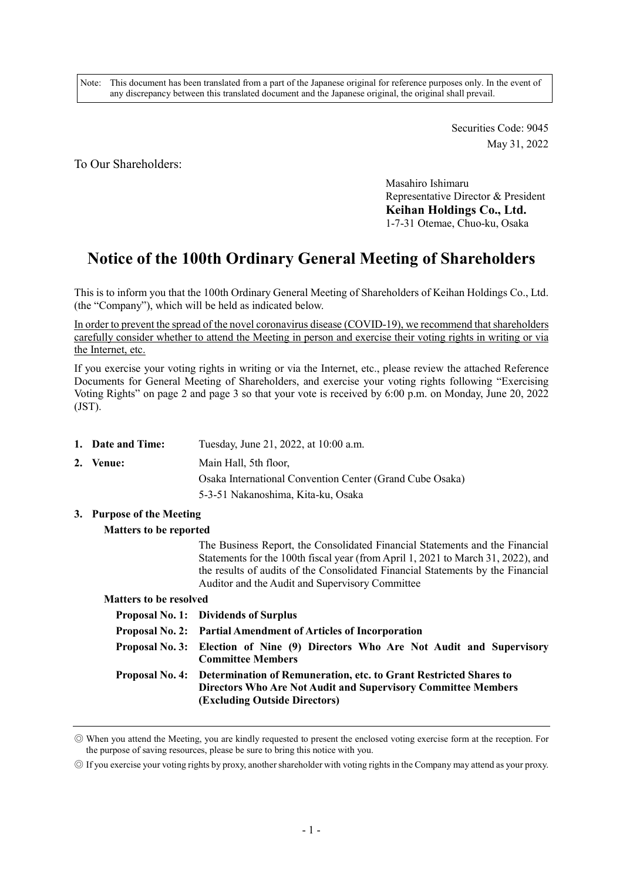Note: This document has been translated from a part of the Japanese original for reference purposes only. In the event of any discrepancy between this translated document and the Japanese original, the original shall prevail.

> Securities Code: 9045 May 31, 2022

To Our Shareholders:

Masahiro Ishimaru Representative Director & President Keihan Holdings Co., Ltd. 1-7-31 Otemae, Chuo-ku, Osaka

# Notice of the 100th Ordinary General Meeting of Shareholders

This is to inform you that the 100th Ordinary General Meeting of Shareholders of Keihan Holdings Co., Ltd. (the "Company"), which will be held as indicated below.

In order to prevent the spread of the novel coronavirus disease (COVID-19), we recommend that shareholders carefully consider whether to attend the Meeting in person and exercise their voting rights in writing or via the Internet, etc.

If you exercise your voting rights in writing or via the Internet, etc., please review the attached Reference Documents for General Meeting of Shareholders, and exercise your voting rights following "Exercising Voting Rights" on page 2 and page 3 so that your vote is received by 6:00 p.m. on Monday, June 20, 2022 (JST).

| 1. Date and Time: | Tuesday, June 21, 2022, at 10:00 a.m.                    |
|-------------------|----------------------------------------------------------|
| 2. Venue:         | Main Hall, 5th floor,                                    |
|                   | Osaka International Convention Center (Grand Cube Osaka) |
|                   | 5-3-51 Nakanoshima, Kita-ku, Osaka                       |

3. Purpose of the Meeting

#### Matters to be reported

The Business Report, the Consolidated Financial Statements and the Financial Statements for the 100th fiscal year (from April 1, 2021 to March 31, 2022), and the results of audits of the Consolidated Financial Statements by the Financial Auditor and the Audit and Supervisory Committee

#### Matters to be resolved

| <b>Proposal No. 1: Dividends of Surplus</b>                                                                                                                                                       |
|---------------------------------------------------------------------------------------------------------------------------------------------------------------------------------------------------|
| Proposal No. 2: Partial Amendment of Articles of Incorporation                                                                                                                                    |
| Proposal No. 3: Election of Nine (9) Directors Who Are Not Audit and Supervisory<br><b>Committee Members</b>                                                                                      |
| Proposal No. 4: Determination of Remuneration, etc. to Grant Restricted Shares to<br><b>Directors Who Are Not Audit and Supervisory Committee Members</b><br><b>(Excluding Outside Directors)</b> |

<sup>◎</sup> When you attend the Meeting, you are kindly requested to present the enclosed voting exercise form at the reception. For the purpose of saving resources, please be sure to bring this notice with you.

<sup>◎</sup> If you exercise your voting rights by proxy, another shareholder with voting rights in the Company may attend as your proxy.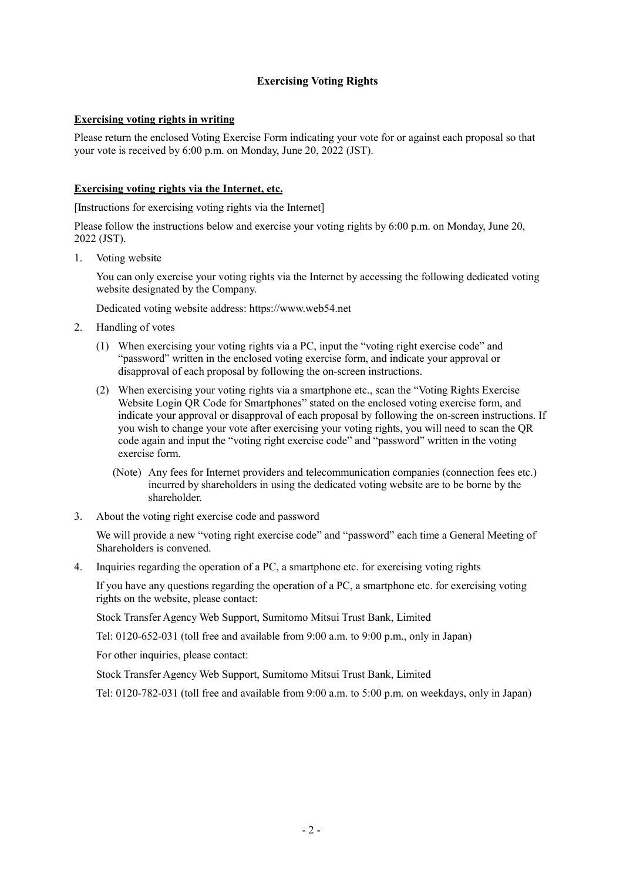## Exercising Voting Rights

## Exercising voting rights in writing

Please return the enclosed Voting Exercise Form indicating your vote for or against each proposal so that your vote is received by 6:00 p.m. on Monday, June 20, 2022 (JST).

## Exercising voting rights via the Internet, etc.

[Instructions for exercising voting rights via the Internet]

Please follow the instructions below and exercise your voting rights by 6:00 p.m. on Monday, June 20, 2022 (JST).

1. Voting website

You can only exercise your voting rights via the Internet by accessing the following dedicated voting website designated by the Company.

Dedicated voting website address: https://www.web54.net

- 2. Handling of votes
	- (1) When exercising your voting rights via a PC, input the "voting right exercise code" and "password" written in the enclosed voting exercise form, and indicate your approval or disapproval of each proposal by following the on-screen instructions.
	- (2) When exercising your voting rights via a smartphone etc., scan the "Voting Rights Exercise Website Login QR Code for Smartphones" stated on the enclosed voting exercise form, and indicate your approval or disapproval of each proposal by following the on-screen instructions. If you wish to change your vote after exercising your voting rights, you will need to scan the QR code again and input the "voting right exercise code" and "password" written in the voting exercise form.
		- (Note) Any fees for Internet providers and telecommunication companies (connection fees etc.) incurred by shareholders in using the dedicated voting website are to be borne by the shareholder.
- 3. About the voting right exercise code and password

We will provide a new "voting right exercise code" and "password" each time a General Meeting of Shareholders is convened.

4. Inquiries regarding the operation of a PC, a smartphone etc. for exercising voting rights

If you have any questions regarding the operation of a PC, a smartphone etc. for exercising voting rights on the website, please contact:

Stock Transfer Agency Web Support, Sumitomo Mitsui Trust Bank, Limited

Tel: 0120-652-031 (toll free and available from 9:00 a.m. to 9:00 p.m., only in Japan)

For other inquiries, please contact:

Stock Transfer Agency Web Support, Sumitomo Mitsui Trust Bank, Limited

Tel: 0120-782-031 (toll free and available from 9:00 a.m. to 5:00 p.m. on weekdays, only in Japan)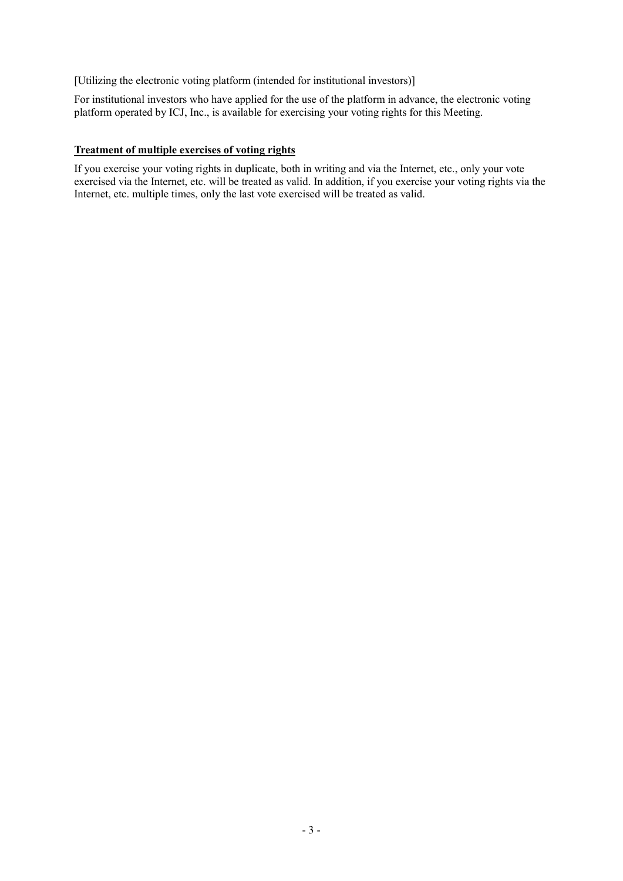[Utilizing the electronic voting platform (intended for institutional investors)]

For institutional investors who have applied for the use of the platform in advance, the electronic voting platform operated by ICJ, Inc., is available for exercising your voting rights for this Meeting.

## Treatment of multiple exercises of voting rights

If you exercise your voting rights in duplicate, both in writing and via the Internet, etc., only your vote exercised via the Internet, etc. will be treated as valid. In addition, if you exercise your voting rights via the Internet, etc. multiple times, only the last vote exercised will be treated as valid.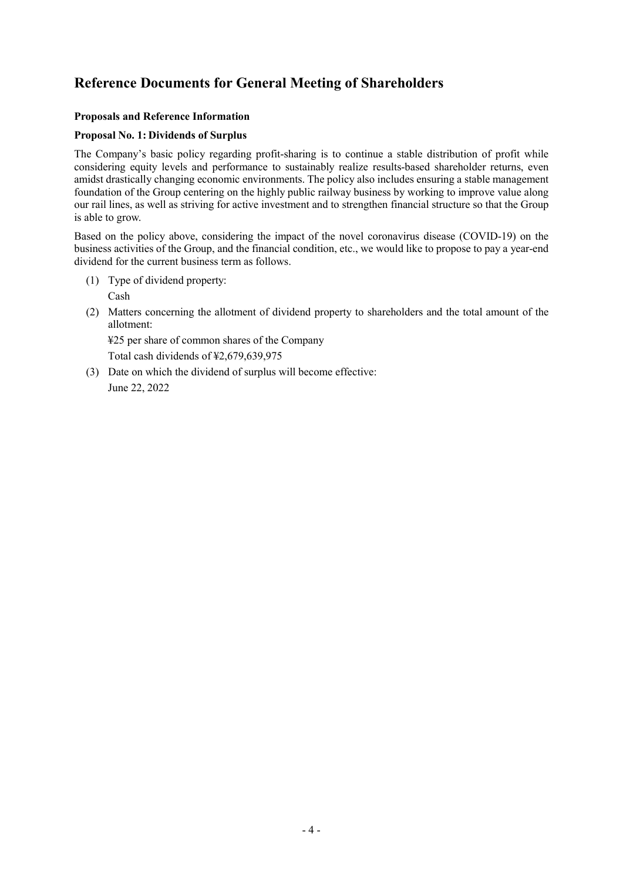## Reference Documents for General Meeting of Shareholders

## Proposals and Reference Information

## Proposal No. 1: Dividends of Surplus

The Company's basic policy regarding profit-sharing is to continue a stable distribution of profit while considering equity levels and performance to sustainably realize results-based shareholder returns, even amidst drastically changing economic environments. The policy also includes ensuring a stable management foundation of the Group centering on the highly public railway business by working to improve value along our rail lines, as well as striving for active investment and to strengthen financial structure so that the Group is able to grow.

Based on the policy above, considering the impact of the novel coronavirus disease (COVID-19) on the business activities of the Group, and the financial condition, etc., we would like to propose to pay a year-end dividend for the current business term as follows.

- (1) Type of dividend property: Cash
- (2) Matters concerning the allotment of dividend property to shareholders and the total amount of the allotment:

¥25 per share of common shares of the Company

Total cash dividends of ¥2,679,639,975

(3) Date on which the dividend of surplus will become effective: June 22, 2022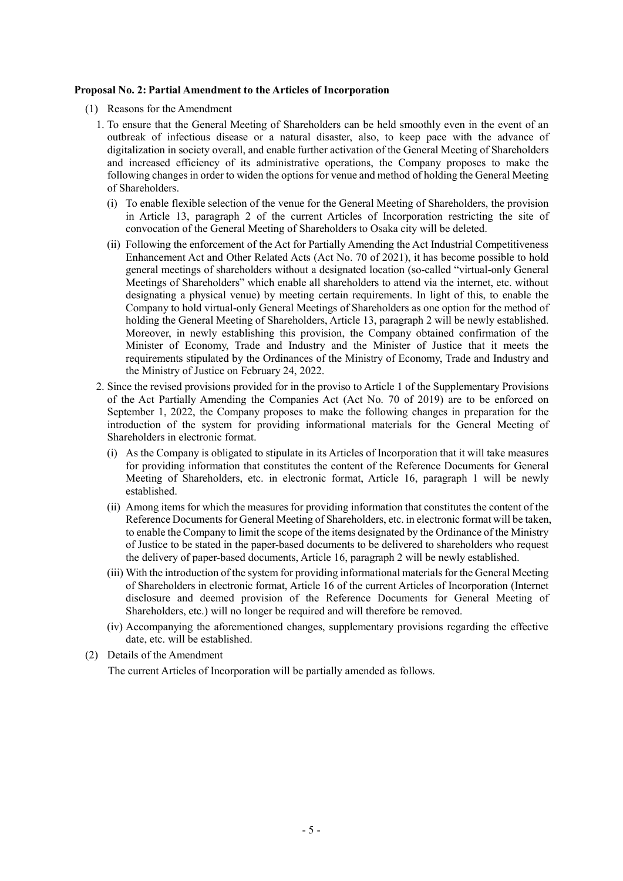#### Proposal No. 2: Partial Amendment to the Articles of Incorporation

- (1) Reasons for the Amendment
	- 1. To ensure that the General Meeting of Shareholders can be held smoothly even in the event of an outbreak of infectious disease or a natural disaster, also, to keep pace with the advance of digitalization in society overall, and enable further activation of the General Meeting of Shareholders and increased efficiency of its administrative operations, the Company proposes to make the following changes in order to widen the options for venue and method of holding the General Meeting of Shareholders.
		- (i) To enable flexible selection of the venue for the General Meeting of Shareholders, the provision in Article 13, paragraph 2 of the current Articles of Incorporation restricting the site of convocation of the General Meeting of Shareholders to Osaka city will be deleted.
		- (ii) Following the enforcement of the Act for Partially Amending the Act Industrial Competitiveness Enhancement Act and Other Related Acts (Act No. 70 of 2021), it has become possible to hold general meetings of shareholders without a designated location (so-called "virtual-only General Meetings of Shareholders" which enable all shareholders to attend via the internet, etc. without designating a physical venue) by meeting certain requirements. In light of this, to enable the Company to hold virtual-only General Meetings of Shareholders as one option for the method of holding the General Meeting of Shareholders, Article 13, paragraph 2 will be newly established. Moreover, in newly establishing this provision, the Company obtained confirmation of the Minister of Economy, Trade and Industry and the Minister of Justice that it meets the requirements stipulated by the Ordinances of the Ministry of Economy, Trade and Industry and the Ministry of Justice on February 24, 2022.
	- 2. Since the revised provisions provided for in the proviso to Article 1 of the Supplementary Provisions of the Act Partially Amending the Companies Act (Act No. 70 of 2019) are to be enforced on September 1, 2022, the Company proposes to make the following changes in preparation for the introduction of the system for providing informational materials for the General Meeting of Shareholders in electronic format.
		- (i) As the Company is obligated to stipulate in its Articles of Incorporation that it will take measures for providing information that constitutes the content of the Reference Documents for General Meeting of Shareholders, etc. in electronic format, Article 16, paragraph 1 will be newly established.
		- (ii) Among items for which the measures for providing information that constitutes the content of the Reference Documents for General Meeting of Shareholders, etc. in electronic format will be taken, to enable the Company to limit the scope of the items designated by the Ordinance of the Ministry of Justice to be stated in the paper-based documents to be delivered to shareholders who request the delivery of paper-based documents, Article 16, paragraph 2 will be newly established.
		- (iii) With the introduction of the system for providing informational materials for the General Meeting of Shareholders in electronic format, Article 16 of the current Articles of Incorporation (Internet disclosure and deemed provision of the Reference Documents for General Meeting of Shareholders, etc.) will no longer be required and will therefore be removed.
		- (iv) Accompanying the aforementioned changes, supplementary provisions regarding the effective date, etc. will be established.
- (2) Details of the Amendment The current Articles of Incorporation will be partially amended as follows.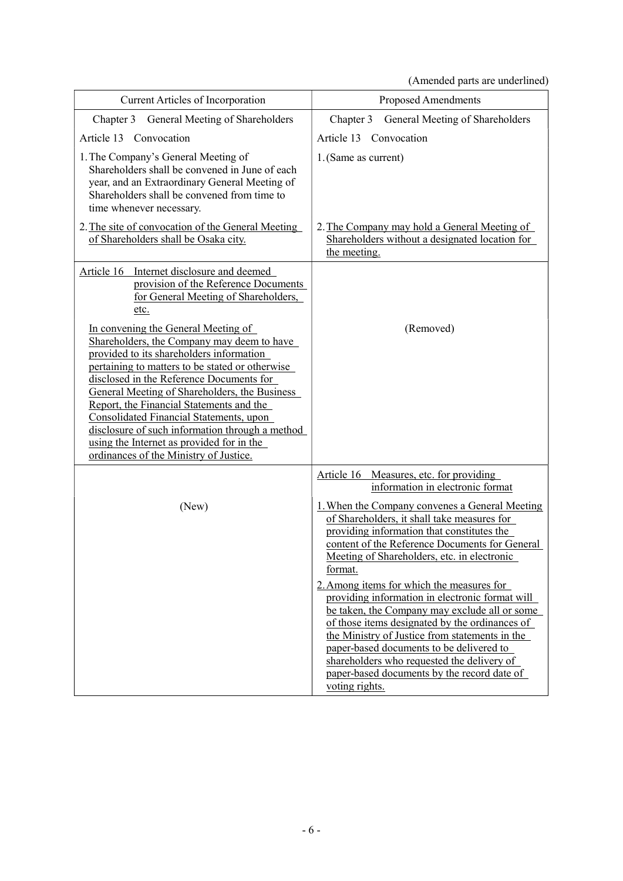(Amended parts are underlined)

| <b>Current Articles of Incorporation</b>                                                                                                                                                                                                                                                                                                                                                                                                                                                                       | Proposed Amendments                                                                                                                                                                                                                                                                                                                                                                                                                                                                                                                                                                                                                     |
|----------------------------------------------------------------------------------------------------------------------------------------------------------------------------------------------------------------------------------------------------------------------------------------------------------------------------------------------------------------------------------------------------------------------------------------------------------------------------------------------------------------|-----------------------------------------------------------------------------------------------------------------------------------------------------------------------------------------------------------------------------------------------------------------------------------------------------------------------------------------------------------------------------------------------------------------------------------------------------------------------------------------------------------------------------------------------------------------------------------------------------------------------------------------|
| Chapter 3<br>General Meeting of Shareholders                                                                                                                                                                                                                                                                                                                                                                                                                                                                   | Chapter 3<br>General Meeting of Shareholders                                                                                                                                                                                                                                                                                                                                                                                                                                                                                                                                                                                            |
| Article 13<br>Convocation                                                                                                                                                                                                                                                                                                                                                                                                                                                                                      | Article 13<br>Convocation                                                                                                                                                                                                                                                                                                                                                                                                                                                                                                                                                                                                               |
| 1. The Company's General Meeting of<br>Shareholders shall be convened in June of each<br>year, and an Extraordinary General Meeting of<br>Shareholders shall be convened from time to<br>time whenever necessary.                                                                                                                                                                                                                                                                                              | 1. (Same as current)                                                                                                                                                                                                                                                                                                                                                                                                                                                                                                                                                                                                                    |
| 2. The site of convocation of the General Meeting<br>of Shareholders shall be Osaka city.                                                                                                                                                                                                                                                                                                                                                                                                                      | 2. The Company may hold a General Meeting of<br>Shareholders without a designated location for<br>the meeting.                                                                                                                                                                                                                                                                                                                                                                                                                                                                                                                          |
| Article 16 Internet disclosure and deemed<br>provision of the Reference Documents<br>for General Meeting of Shareholders,<br>etc.                                                                                                                                                                                                                                                                                                                                                                              |                                                                                                                                                                                                                                                                                                                                                                                                                                                                                                                                                                                                                                         |
| In convening the General Meeting of<br>Shareholders, the Company may deem to have<br>provided to its shareholders information<br>pertaining to matters to be stated or otherwise<br>disclosed in the Reference Documents for<br>General Meeting of Shareholders, the Business<br>Report, the Financial Statements and the<br>Consolidated Financial Statements, upon<br>disclosure of such information through a method<br>using the Internet as provided for in the<br>ordinances of the Ministry of Justice. | (Removed)                                                                                                                                                                                                                                                                                                                                                                                                                                                                                                                                                                                                                               |
| (New)                                                                                                                                                                                                                                                                                                                                                                                                                                                                                                          | Article 16 Measures, etc. for providing<br>information in electronic format<br>1. When the Company convenes a General Meeting<br>of Shareholders, it shall take measures for<br>providing information that constitutes the<br>content of the Reference Documents for General<br>Meeting of Shareholders, etc. in electronic<br>format.<br>2. Among items for which the measures for<br>providing information in electronic format will<br>be taken, the Company may exclude all or some<br>of those items designated by the ordinances of<br>the Ministry of Justice from statements in the<br>paper-based documents to be delivered to |
|                                                                                                                                                                                                                                                                                                                                                                                                                                                                                                                | shareholders who requested the delivery of<br>paper-based documents by the record date of<br>voting rights.                                                                                                                                                                                                                                                                                                                                                                                                                                                                                                                             |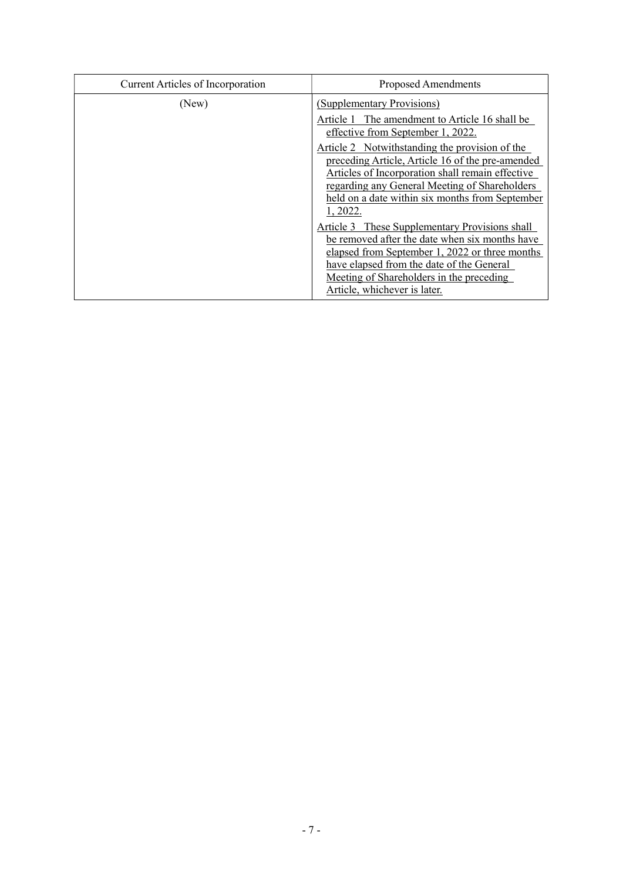| <b>Current Articles of Incorporation</b> | Proposed Amendments                                                                                                                                                                                                                                                         |
|------------------------------------------|-----------------------------------------------------------------------------------------------------------------------------------------------------------------------------------------------------------------------------------------------------------------------------|
| (New)                                    | (Supplementary Provisions)                                                                                                                                                                                                                                                  |
|                                          | Article 1 The amendment to Article 16 shall be<br>effective from September 1, 2022.                                                                                                                                                                                         |
|                                          | Article 2 Notwithstanding the provision of the<br>preceding Article, Article 16 of the pre-amended<br>Articles of Incorporation shall remain effective<br>regarding any General Meeting of Shareholders<br>held on a date within six months from September<br>1, 2022.      |
|                                          | Article 3 These Supplementary Provisions shall<br>be removed after the date when six months have<br>elapsed from September 1, 2022 or three months<br>have elapsed from the date of the General<br>Meeting of Shareholders in the preceding<br>Article, whichever is later. |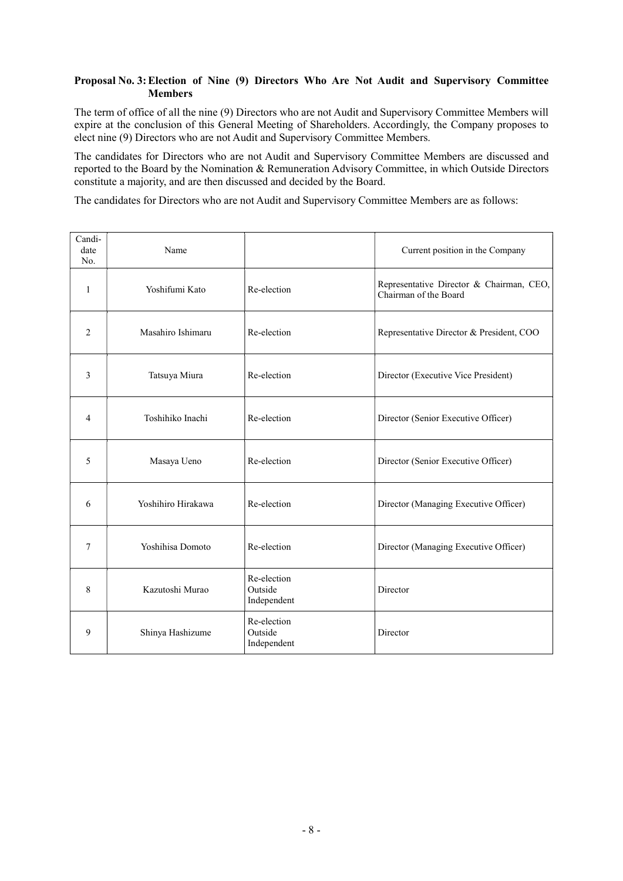### Proposal No. 3: Election of Nine (9) Directors Who Are Not Audit and Supervisory Committee Members

The term of office of all the nine (9) Directors who are not Audit and Supervisory Committee Members will expire at the conclusion of this General Meeting of Shareholders. Accordingly, the Company proposes to elect nine (9) Directors who are not Audit and Supervisory Committee Members.

The candidates for Directors who are not Audit and Supervisory Committee Members are discussed and reported to the Board by the Nomination & Remuneration Advisory Committee, in which Outside Directors constitute a majority, and are then discussed and decided by the Board.

The candidates for Directors who are not Audit and Supervisory Committee Members are as follows:

| Candi-<br>date<br>No. | Name               |                                       | Current position in the Company                                   |
|-----------------------|--------------------|---------------------------------------|-------------------------------------------------------------------|
| 1                     | Yoshifumi Kato     | Re-election                           | Representative Director & Chairman, CEO,<br>Chairman of the Board |
| $\overline{2}$        | Masahiro Ishimaru  | Re-election                           | Representative Director & President, COO                          |
| 3                     | Tatsuya Miura      | Re-election                           | Director (Executive Vice President)                               |
| 4                     | Toshihiko Inachi   | Re-election                           | Director (Senior Executive Officer)                               |
| 5                     | Masaya Ueno        | Re-election                           | Director (Senior Executive Officer)                               |
| 6                     | Yoshihiro Hirakawa | Re-election                           | Director (Managing Executive Officer)                             |
| 7                     | Yoshihisa Domoto   | Re-election                           | Director (Managing Executive Officer)                             |
| 8                     | Kazutoshi Murao    | Re-election<br>Outside<br>Independent | Director                                                          |
| 9                     | Shinya Hashizume   | Re-election<br>Outside<br>Independent | Director                                                          |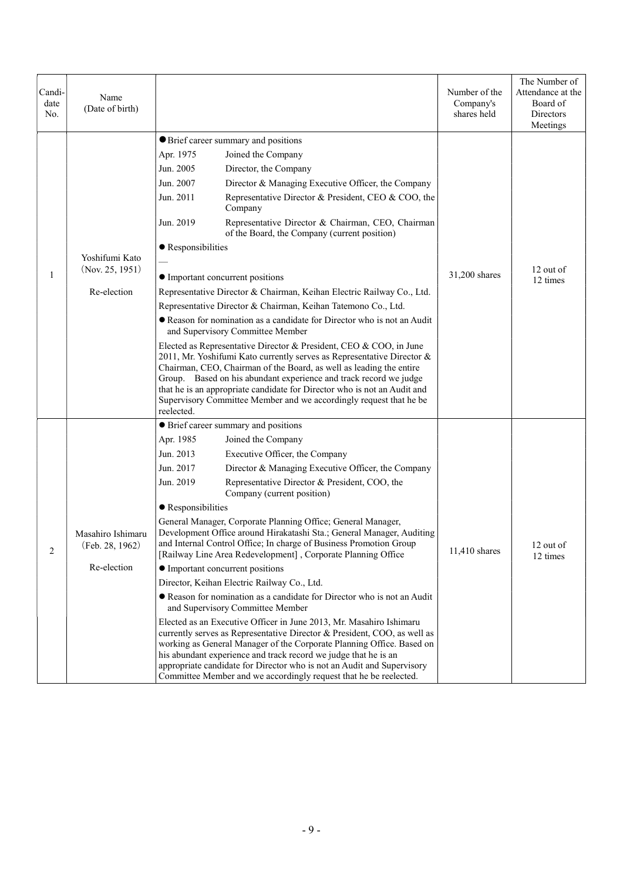| Candi-<br>date<br>No. | Name<br>(Date of birth)                             |                                                                                                                                                                                                                                                                                                                                                                                                                                                                                                                                                                                                                                                                                                                                                                                                                                                                                                                                                                                                                                                                                                                                                                                                                                          | Number of the<br>Company's<br>shares held | The Number of<br>Attendance at the<br>Board of<br>Directors<br>Meetings |
|-----------------------|-----------------------------------------------------|------------------------------------------------------------------------------------------------------------------------------------------------------------------------------------------------------------------------------------------------------------------------------------------------------------------------------------------------------------------------------------------------------------------------------------------------------------------------------------------------------------------------------------------------------------------------------------------------------------------------------------------------------------------------------------------------------------------------------------------------------------------------------------------------------------------------------------------------------------------------------------------------------------------------------------------------------------------------------------------------------------------------------------------------------------------------------------------------------------------------------------------------------------------------------------------------------------------------------------------|-------------------------------------------|-------------------------------------------------------------------------|
| 1                     | Yoshifumi Kato<br>(Nov. 25, 1951)<br>Re-election    | <b>O</b> Brief career summary and positions<br>Joined the Company<br>Apr. 1975<br>Jun. 2005<br>Director, the Company<br>Jun. 2007<br>Director & Managing Executive Officer, the Company<br>Jun. 2011<br>Representative Director & President, CEO & COO, the<br>Company<br>Jun. 2019<br>Representative Director & Chairman, CEO, Chairman<br>of the Board, the Company (current position)<br>• Responsibilities<br>• Important concurrent positions<br>Representative Director & Chairman, Keihan Electric Railway Co., Ltd.<br>Representative Director & Chairman, Keihan Tatemono Co., Ltd.<br>• Reason for nomination as a candidate for Director who is not an Audit<br>and Supervisory Committee Member<br>Elected as Representative Director & President, CEO & COO, in June<br>2011, Mr. Yoshifumi Kato currently serves as Representative Director &<br>Chairman, CEO, Chairman of the Board, as well as leading the entire<br>Group. Based on his abundant experience and track record we judge<br>that he is an appropriate candidate for Director who is not an Audit and<br>Supervisory Committee Member and we accordingly request that he be<br>reelected.                                                                  | 31,200 shares                             | 12 out of<br>12 times                                                   |
| 2                     | Masahiro Ishimaru<br>(Feb. 28, 1962)<br>Re-election | • Brief career summary and positions<br>Apr. 1985<br>Joined the Company<br>Jun. 2013<br>Executive Officer, the Company<br>Jun. 2017<br>Director & Managing Executive Officer, the Company<br>Jun. 2019<br>Representative Director & President, COO, the<br>Company (current position)<br>• Responsibilities<br>General Manager, Corporate Planning Office; General Manager,<br>Development Office around Hirakatashi Sta.; General Manager, Auditing<br>and Internal Control Office; In charge of Business Promotion Group<br>[Railway Line Area Redevelopment], Corporate Planning Office<br>• Important concurrent positions<br>Director, Keihan Electric Railway Co., Ltd.<br>Reason for nomination as a candidate for Director who is not an Audit<br>and Supervisory Committee Member<br>Elected as an Executive Officer in June 2013, Mr. Masahiro Ishimaru<br>currently serves as Representative Director & President, COO, as well as<br>working as General Manager of the Corporate Planning Office. Based on<br>his abundant experience and track record we judge that he is an<br>appropriate candidate for Director who is not an Audit and Supervisory<br>Committee Member and we accordingly request that he be reelected. | 11,410 shares                             | 12 out of<br>12 times                                                   |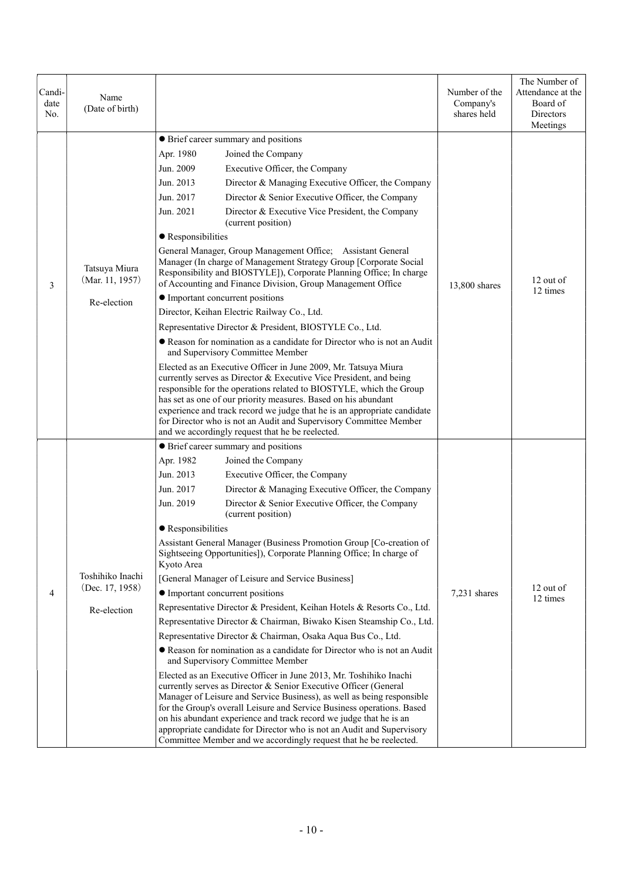| Candi-<br>date<br>No. | Name<br>(Date of birth)                               |                                                                                                                                                                                                                                                                                                                                                                                                                                                                                                                                                                                                                                                                                                                                                                                                                                                                                                                                                                                                                                                                                                                                                                                                                                                                                                                                                                                                                  | Number of the<br>Company's<br>shares held | The Number of<br>Attendance at the<br>Board of<br>Directors<br>Meetings |
|-----------------------|-------------------------------------------------------|------------------------------------------------------------------------------------------------------------------------------------------------------------------------------------------------------------------------------------------------------------------------------------------------------------------------------------------------------------------------------------------------------------------------------------------------------------------------------------------------------------------------------------------------------------------------------------------------------------------------------------------------------------------------------------------------------------------------------------------------------------------------------------------------------------------------------------------------------------------------------------------------------------------------------------------------------------------------------------------------------------------------------------------------------------------------------------------------------------------------------------------------------------------------------------------------------------------------------------------------------------------------------------------------------------------------------------------------------------------------------------------------------------------|-------------------------------------------|-------------------------------------------------------------------------|
| 3                     | Tatsuya Miura<br>(Mar. 11, 1957)<br>Re-election       | • Brief career summary and positions<br>Apr. 1980<br>Joined the Company<br>Jun. 2009<br>Executive Officer, the Company<br>Jun. 2013<br>Director & Managing Executive Officer, the Company<br>Director & Senior Executive Officer, the Company<br>Jun. 2017<br>Jun. 2021<br>Director & Executive Vice President, the Company<br>(current position)<br>• Responsibilities<br>General Manager, Group Management Office; Assistant General<br>Manager (In charge of Management Strategy Group [Corporate Social<br>Responsibility and BIOSTYLE]), Corporate Planning Office; In charge<br>of Accounting and Finance Division, Group Management Office<br>• Important concurrent positions<br>Director, Keihan Electric Railway Co., Ltd.<br>Representative Director & President, BIOSTYLE Co., Ltd.<br>Reason for nomination as a candidate for Director who is not an Audit<br>and Supervisory Committee Member<br>Elected as an Executive Officer in June 2009, Mr. Tatsuya Miura<br>currently serves as Director & Executive Vice President, and being<br>responsible for the operations related to BIOSTYLE, which the Group<br>has set as one of our priority measures. Based on his abundant<br>experience and track record we judge that he is an appropriate candidate<br>for Director who is not an Audit and Supervisory Committee Member<br>and we accordingly request that he be reelected.              | 13,800 shares                             | 12 out of<br>12 times                                                   |
| 4                     | Toshihiko Inachi<br>(Dec. $17, 1958$ )<br>Re-election | • Brief career summary and positions<br>Apr. 1982<br>Joined the Company<br>Jun. 2013<br>Executive Officer, the Company<br>Jun. 2017<br>Director & Managing Executive Officer, the Company<br>Jun. 2019<br>Director & Senior Executive Officer, the Company<br>(current position)<br>• Responsibilities<br>Assistant General Manager (Business Promotion Group [Co-creation of<br>Sightseeing Opportunities]), Corporate Planning Office; In charge of<br>Kyoto Area<br>[General Manager of Leisure and Service Business]<br>• Important concurrent positions<br>Representative Director & President, Keihan Hotels & Resorts Co., Ltd.<br>Representative Director & Chairman, Biwako Kisen Steamship Co., Ltd.<br>Representative Director & Chairman, Osaka Aqua Bus Co., Ltd.<br>• Reason for nomination as a candidate for Director who is not an Audit<br>and Supervisory Committee Member<br>Elected as an Executive Officer in June 2013, Mr. Toshihiko Inachi<br>currently serves as Director & Senior Executive Officer (General<br>Manager of Leisure and Service Business), as well as being responsible<br>for the Group's overall Leisure and Service Business operations. Based<br>on his abundant experience and track record we judge that he is an<br>appropriate candidate for Director who is not an Audit and Supervisory<br>Committee Member and we accordingly request that he be reelected. | 7,231 shares                              | 12 out of<br>12 times                                                   |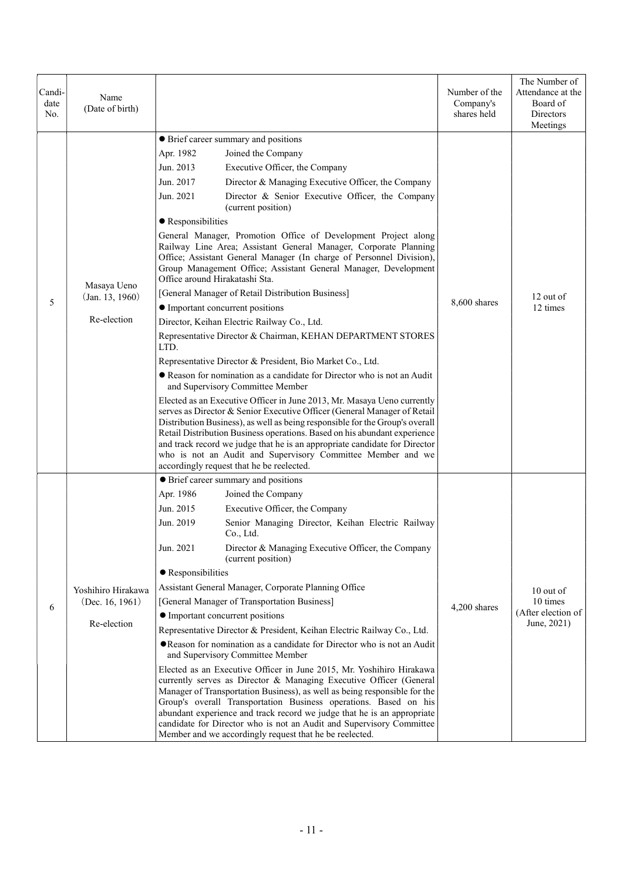| Candi-<br>date<br>No. | Name<br>(Date of birth)                              |                                                                                                                                                                                                                                                                                                                                                                                                                                                                                                                                                                                                                                                                                                                                                                                                                                                                                                                                                                                                                                                                                                                                                                                                                                                                                                                                                                                                                                                                                                                                  | Number of the<br>Company's<br>shares held | The Number of<br>Attendance at the<br>Board of<br>Directors<br>Meetings |
|-----------------------|------------------------------------------------------|----------------------------------------------------------------------------------------------------------------------------------------------------------------------------------------------------------------------------------------------------------------------------------------------------------------------------------------------------------------------------------------------------------------------------------------------------------------------------------------------------------------------------------------------------------------------------------------------------------------------------------------------------------------------------------------------------------------------------------------------------------------------------------------------------------------------------------------------------------------------------------------------------------------------------------------------------------------------------------------------------------------------------------------------------------------------------------------------------------------------------------------------------------------------------------------------------------------------------------------------------------------------------------------------------------------------------------------------------------------------------------------------------------------------------------------------------------------------------------------------------------------------------------|-------------------------------------------|-------------------------------------------------------------------------|
| 5                     | Masaya Ueno<br>(Jan. 13, 1960)<br>Re-election        | • Brief career summary and positions<br>Apr. 1982<br>Joined the Company<br>Jun. 2013<br>Executive Officer, the Company<br>Jun. 2017<br>Director & Managing Executive Officer, the Company<br>Jun. 2021<br>Director & Senior Executive Officer, the Company<br>(current position)<br>• Responsibilities<br>General Manager, Promotion Office of Development Project along<br>Railway Line Area; Assistant General Manager, Corporate Planning<br>Office; Assistant General Manager (In charge of Personnel Division),<br>Group Management Office; Assistant General Manager, Development<br>Office around Hirakatashi Sta.<br>[General Manager of Retail Distribution Business]<br>• Important concurrent positions<br>Director, Keihan Electric Railway Co., Ltd.<br>Representative Director & Chairman, KEHAN DEPARTMENT STORES<br>LTD.<br>Representative Director & President, Bio Market Co., Ltd.<br>Reason for nomination as a candidate for Director who is not an Audit<br>and Supervisory Committee Member<br>Elected as an Executive Officer in June 2013, Mr. Masaya Ueno currently<br>serves as Director & Senior Executive Officer (General Manager of Retail<br>Distribution Business), as well as being responsible for the Group's overall<br>Retail Distribution Business operations. Based on his abundant experience<br>and track record we judge that he is an appropriate candidate for Director<br>who is not an Audit and Supervisory Committee Member and we<br>accordingly request that he be reelected. | 8,600 shares                              | 12 out of<br>12 times                                                   |
| 6                     | Yoshihiro Hirakawa<br>(Dec. 16, 1961)<br>Re-election | • Brief career summary and positions<br>Apr. 1986<br>Joined the Company<br>Jun. 2015<br>Executive Officer, the Company<br>Jun. 2019<br>Senior Managing Director, Keihan Electric Railway<br>Co., Ltd.<br>Jun. 2021<br>Director & Managing Executive Officer, the Company<br>(current position)<br>• Responsibilities<br>Assistant General Manager, Corporate Planning Office<br>[General Manager of Transportation Business]<br>• Important concurrent positions<br>Representative Director & President, Keihan Electric Railway Co., Ltd.<br>• Reason for nomination as a candidate for Director who is not an Audit<br>and Supervisory Committee Member<br>Elected as an Executive Officer in June 2015, Mr. Yoshihiro Hirakawa<br>currently serves as Director & Managing Executive Officer (General<br>Manager of Transportation Business), as well as being responsible for the<br>Group's overall Transportation Business operations. Based on his<br>abundant experience and track record we judge that he is an appropriate<br>candidate for Director who is not an Audit and Supervisory Committee<br>Member and we accordingly request that he be reelected.                                                                                                                                                                                                                                                                                                                                                           | 4,200 shares                              | 10 out of<br>10 times<br>(After election of<br>June, 2021)              |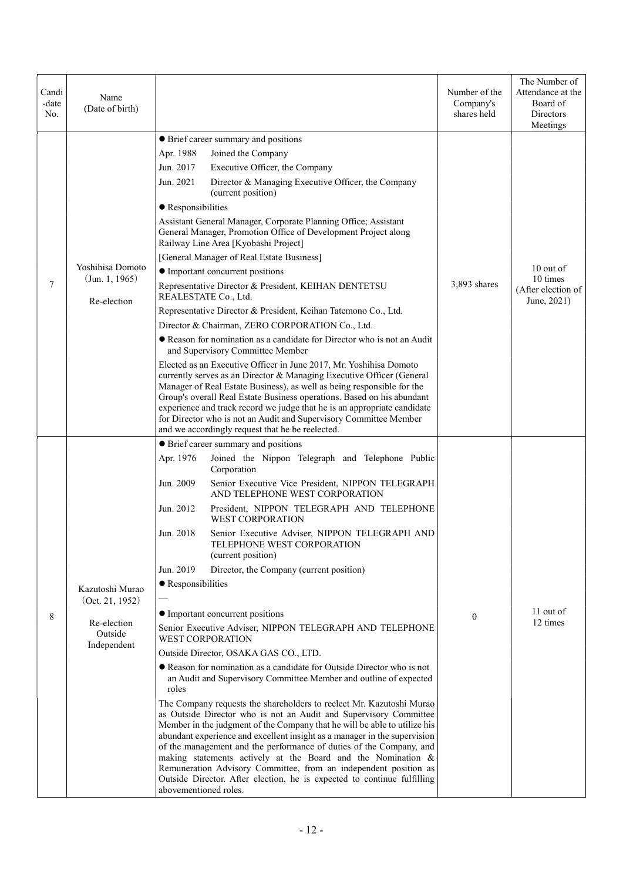| Candi<br>-date<br>No. | Name<br>(Date of birth)                                                     |                                                                                                                                                                                                                                                                                                                                                                                                                                                                                                                                                                                                                                                                                                                                                                                                                                                                                                                                                                                                                                                                                                                                                                                                                                                                                                                                                                                                                                                                   | Number of the<br>Company's<br>shares held | The Number of<br>Attendance at the<br>Board of<br>Directors<br>Meetings |
|-----------------------|-----------------------------------------------------------------------------|-------------------------------------------------------------------------------------------------------------------------------------------------------------------------------------------------------------------------------------------------------------------------------------------------------------------------------------------------------------------------------------------------------------------------------------------------------------------------------------------------------------------------------------------------------------------------------------------------------------------------------------------------------------------------------------------------------------------------------------------------------------------------------------------------------------------------------------------------------------------------------------------------------------------------------------------------------------------------------------------------------------------------------------------------------------------------------------------------------------------------------------------------------------------------------------------------------------------------------------------------------------------------------------------------------------------------------------------------------------------------------------------------------------------------------------------------------------------|-------------------------------------------|-------------------------------------------------------------------------|
| 7                     | Yoshihisa Domoto<br>(Jun. 1, 1965)<br>Re-election                           | • Brief career summary and positions<br>Apr. 1988<br>Joined the Company<br>Jun. 2017<br>Executive Officer, the Company<br>Jun. 2021<br>Director & Managing Executive Officer, the Company<br>(current position)<br>• Responsibilities<br>Assistant General Manager, Corporate Planning Office; Assistant<br>General Manager, Promotion Office of Development Project along<br>Railway Line Area [Kyobashi Project]<br>[General Manager of Real Estate Business]<br>• Important concurrent positions<br>Representative Director & President, KEIHAN DENTETSU<br>REALESTATE Co., Ltd.<br>Representative Director & President, Keihan Tatemono Co., Ltd.<br>Director & Chairman, ZERO CORPORATION Co., Ltd.<br>Reason for nomination as a candidate for Director who is not an Audit<br>and Supervisory Committee Member<br>Elected as an Executive Officer in June 2017, Mr. Yoshihisa Domoto<br>currently serves as an Director & Managing Executive Officer (General<br>Manager of Real Estate Business), as well as being responsible for the<br>Group's overall Real Estate Business operations. Based on his abundant<br>experience and track record we judge that he is an appropriate candidate<br>for Director who is not an Audit and Supervisory Committee Member<br>and we accordingly request that he be reelected.                                                                                                                                     | 3,893 shares                              | 10 out of<br>10 times<br>(After election of<br>June, 2021)              |
| 8                     | Kazutoshi Murao<br>(Oct. 21, 1952)<br>Re-election<br>Outside<br>Independent | • Brief career summary and positions<br>Apr. 1976<br>Joined the Nippon Telegraph and Telephone Public<br>Corporation<br>Jun. 2009<br>Senior Executive Vice President, NIPPON TELEGRAPH<br>AND TELEPHONE WEST CORPORATION<br>Jun. 2012<br>President, NIPPON TELEGRAPH AND TELEPHONE<br><b>WEST CORPORATION</b><br>Senior Executive Adviser, NIPPON TELEGRAPH AND<br>Jun. 2018<br>TELEPHONE WEST CORPORATION<br>(current position)<br>Jun. 2019<br>Director, the Company (current position)<br>• Responsibilities<br>• Important concurrent positions<br>Senior Executive Adviser, NIPPON TELEGRAPH AND TELEPHONE<br><b>WEST CORPORATION</b><br>Outside Director, OSAKA GAS CO., LTD.<br>• Reason for nomination as a candidate for Outside Director who is not<br>an Audit and Supervisory Committee Member and outline of expected<br>roles<br>The Company requests the shareholders to reelect Mr. Kazutoshi Murao<br>as Outside Director who is not an Audit and Supervisory Committee<br>Member in the judgment of the Company that he will be able to utilize his<br>abundant experience and excellent insight as a manager in the supervision<br>of the management and the performance of duties of the Company, and<br>making statements actively at the Board and the Nomination &<br>Remuneration Advisory Committee, from an independent position as<br>Outside Director. After election, he is expected to continue fulfilling<br>abovementioned roles. | $\theta$                                  | 11 out of<br>12 times                                                   |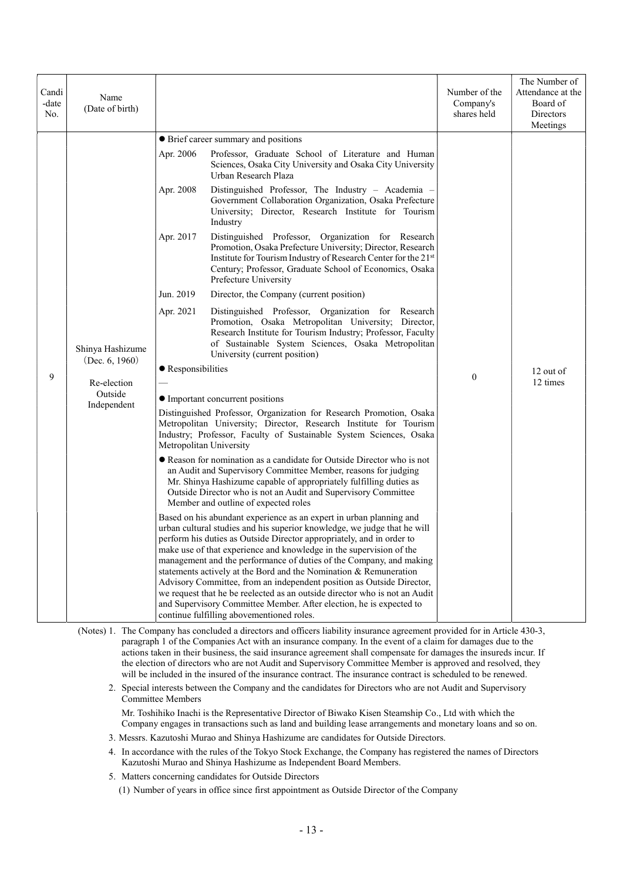| Candi<br>-date<br>No. | Name<br>(Date of birth)               |                    |                                                                                                                                                                                                                                                                                                                                                                                                                                                                                                                                                                                                                                                                                                                        | Number of the<br>Company's<br>shares held                                                                                                                                                                                                                                                                                | The Number of<br>Attendance at the<br>Board of<br>Directors<br>Meetings |  |
|-----------------------|---------------------------------------|--------------------|------------------------------------------------------------------------------------------------------------------------------------------------------------------------------------------------------------------------------------------------------------------------------------------------------------------------------------------------------------------------------------------------------------------------------------------------------------------------------------------------------------------------------------------------------------------------------------------------------------------------------------------------------------------------------------------------------------------------|--------------------------------------------------------------------------------------------------------------------------------------------------------------------------------------------------------------------------------------------------------------------------------------------------------------------------|-------------------------------------------------------------------------|--|
|                       |                                       |                    | • Brief career summary and positions                                                                                                                                                                                                                                                                                                                                                                                                                                                                                                                                                                                                                                                                                   |                                                                                                                                                                                                                                                                                                                          |                                                                         |  |
|                       |                                       | Apr. 2006          | Professor, Graduate School of Literature and Human<br>Sciences, Osaka City University and Osaka City University<br>Urban Research Plaza                                                                                                                                                                                                                                                                                                                                                                                                                                                                                                                                                                                |                                                                                                                                                                                                                                                                                                                          |                                                                         |  |
|                       |                                       | Apr. 2008          | Distinguished Professor, The Industry - Academia -<br>Government Collaboration Organization, Osaka Prefecture<br>University; Director, Research Institute for Tourism<br>Industry                                                                                                                                                                                                                                                                                                                                                                                                                                                                                                                                      |                                                                                                                                                                                                                                                                                                                          |                                                                         |  |
|                       |                                       | Apr. 2017          | Distinguished Professor, Organization for Research<br>Promotion, Osaka Prefecture University; Director, Research<br>Institute for Tourism Industry of Research Center for the 21st<br>Century; Professor, Graduate School of Economics, Osaka<br>Prefecture University                                                                                                                                                                                                                                                                                                                                                                                                                                                 |                                                                                                                                                                                                                                                                                                                          |                                                                         |  |
|                       |                                       | Jun. 2019          | Director, the Company (current position)                                                                                                                                                                                                                                                                                                                                                                                                                                                                                                                                                                                                                                                                               |                                                                                                                                                                                                                                                                                                                          |                                                                         |  |
|                       | Shinya Hashizume                      | Apr. 2021          | Distinguished Professor, Organization for Research<br>Promotion, Osaka Metropolitan University; Director,<br>Research Institute for Tourism Industry; Professor, Faculty<br>of Sustainable System Sciences, Osaka Metropolitan<br>University (current position)                                                                                                                                                                                                                                                                                                                                                                                                                                                        |                                                                                                                                                                                                                                                                                                                          |                                                                         |  |
|                       | (Dec. 6, 1960)                        | • Responsibilities |                                                                                                                                                                                                                                                                                                                                                                                                                                                                                                                                                                                                                                                                                                                        |                                                                                                                                                                                                                                                                                                                          | 12 out of                                                               |  |
| 9                     | Re-election<br>Outside<br>Independent |                    |                                                                                                                                                                                                                                                                                                                                                                                                                                                                                                                                                                                                                                                                                                                        | $\boldsymbol{0}$                                                                                                                                                                                                                                                                                                         | 12 times                                                                |  |
|                       |                                       |                    | • Important concurrent positions                                                                                                                                                                                                                                                                                                                                                                                                                                                                                                                                                                                                                                                                                       |                                                                                                                                                                                                                                                                                                                          |                                                                         |  |
|                       |                                       |                    | Distinguished Professor, Organization for Research Promotion, Osaka<br>Metropolitan University; Director, Research Institute for Tourism<br>Industry; Professor, Faculty of Sustainable System Sciences, Osaka<br>Metropolitan University                                                                                                                                                                                                                                                                                                                                                                                                                                                                              |                                                                                                                                                                                                                                                                                                                          |                                                                         |  |
|                       |                                       |                    |                                                                                                                                                                                                                                                                                                                                                                                                                                                                                                                                                                                                                                                                                                                        | • Reason for nomination as a candidate for Outside Director who is not<br>an Audit and Supervisory Committee Member, reasons for judging<br>Mr. Shinya Hashizume capable of appropriately fulfilling duties as<br>Outside Director who is not an Audit and Supervisory Committee<br>Member and outline of expected roles |                                                                         |  |
|                       |                                       |                    | Based on his abundant experience as an expert in urban planning and<br>urban cultural studies and his superior knowledge, we judge that he will<br>perform his duties as Outside Director appropriately, and in order to<br>make use of that experience and knowledge in the supervision of the<br>management and the performance of duties of the Company, and making<br>statements actively at the Bord and the Nomination & Remuneration<br>Advisory Committee, from an independent position as Outside Director,<br>we request that he be reelected as an outside director who is not an Audit<br>and Supervisory Committee Member. After election, he is expected to<br>continue fulfilling abovementioned roles. |                                                                                                                                                                                                                                                                                                                          |                                                                         |  |

(Notes) 1. The Company has concluded a directors and officers liability insurance agreement provided for in Article 430-3, paragraph 1 of the Companies Act with an insurance company. In the event of a claim for damages due to the actions taken in their business, the said insurance agreement shall compensate for damages the insureds incur. If the election of directors who are not Audit and Supervisory Committee Member is approved and resolved, they will be included in the insured of the insurance contract. The insurance contract is scheduled to be renewed.

2. Special interests between the Company and the candidates for Directors who are not Audit and Supervisory Committee Members

Mr. Toshihiko Inachi is the Representative Director of Biwako Kisen Steamship Co., Ltd with which the Company engages in transactions such as land and building lease arrangements and monetary loans and so on.

3. Messrs. Kazutoshi Murao and Shinya Hashizume are candidates for Outside Directors.

- 4. In accordance with the rules of the Tokyo Stock Exchange, the Company has registered the names of Directors Kazutoshi Murao and Shinya Hashizume as Independent Board Members.
- 5. Matters concerning candidates for Outside Directors
	- (1) Number of years in office since first appointment as Outside Director of the Company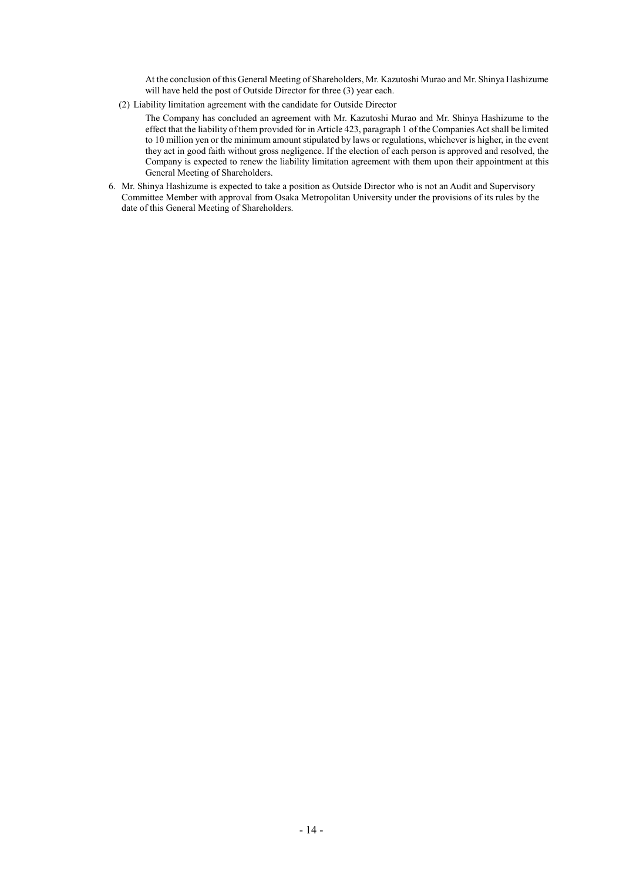At the conclusion of this General Meeting of Shareholders, Mr. Kazutoshi Murao and Mr. Shinya Hashizume will have held the post of Outside Director for three (3) year each.

(2) Liability limitation agreement with the candidate for Outside Director

The Company has concluded an agreement with Mr. Kazutoshi Murao and Mr. Shinya Hashizume to the effect that the liability of them provided for in Article 423, paragraph 1 of the Companies Act shall be limited to 10 million yen or the minimum amount stipulated by laws or regulations, whichever is higher, in the event they act in good faith without gross negligence. If the election of each person is approved and resolved, the Company is expected to renew the liability limitation agreement with them upon their appointment at this General Meeting of Shareholders.

6. Mr. Shinya Hashizume is expected to take a position as Outside Director who is not an Audit and Supervisory Committee Member with approval from Osaka Metropolitan University under the provisions of its rules by the date of this General Meeting of Shareholders.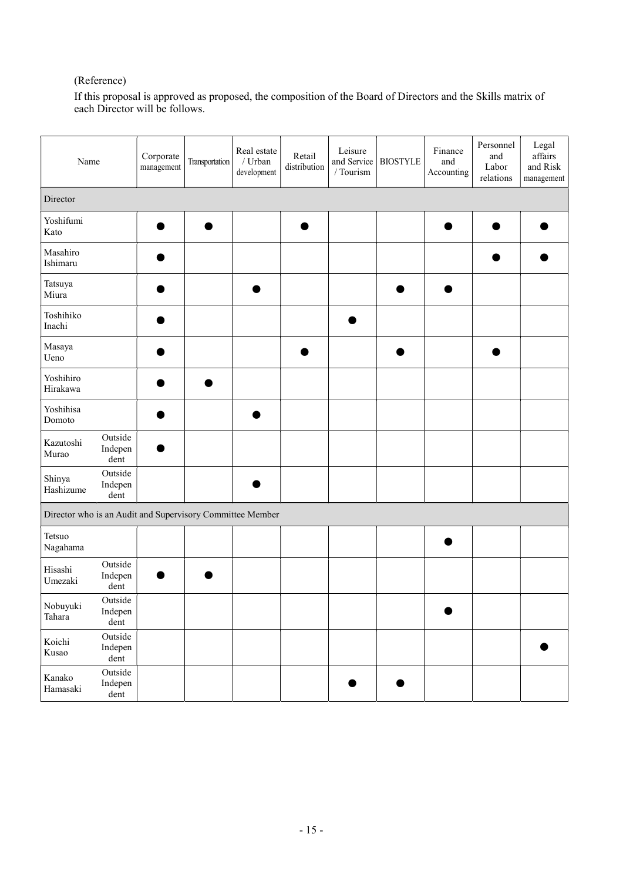## (Reference)

If this proposal is approved as proposed, the composition of the Board of Directors and the Skills matrix of each Director will be follows.

| Name                                                      |                            | Corporate<br>management | Transportation | Real estate<br>/ $Urban$<br>development | Retail<br>distribution | Leisure<br>and Service<br>/ Tourism | <b>BIOSTYLE</b> | Finance<br>and<br>Accounting | Personnel<br>and<br>Labor<br>relations | Legal<br>affairs<br>and Risk<br>management |
|-----------------------------------------------------------|----------------------------|-------------------------|----------------|-----------------------------------------|------------------------|-------------------------------------|-----------------|------------------------------|----------------------------------------|--------------------------------------------|
| Director                                                  |                            |                         |                |                                         |                        |                                     |                 |                              |                                        |                                            |
| Yoshifumi<br>Kato                                         |                            |                         | œ              |                                         |                        |                                     |                 |                              |                                        | ٠                                          |
| Masahiro<br>Ishimaru                                      |                            |                         |                |                                         |                        |                                     |                 |                              |                                        |                                            |
| Tatsuya<br>Miura                                          |                            |                         |                |                                         |                        |                                     |                 |                              |                                        |                                            |
| Toshihiko<br>Inachi                                       |                            |                         |                |                                         |                        |                                     |                 |                              |                                        |                                            |
| Masaya<br>Ueno                                            |                            |                         |                |                                         |                        |                                     |                 |                              |                                        |                                            |
| Yoshihiro<br>Hirakawa                                     |                            |                         |                |                                         |                        |                                     |                 |                              |                                        |                                            |
| Yoshihisa<br>Domoto                                       |                            |                         |                | $\bullet$                               |                        |                                     |                 |                              |                                        |                                            |
| Kazutoshi<br>Murao                                        | Outside<br>Indepen<br>dent |                         |                |                                         |                        |                                     |                 |                              |                                        |                                            |
| Shinya<br>Hashizume                                       | Outside<br>Indepen<br>dent |                         |                |                                         |                        |                                     |                 |                              |                                        |                                            |
| Director who is an Audit and Supervisory Committee Member |                            |                         |                |                                         |                        |                                     |                 |                              |                                        |                                            |
| Tetsuo<br>Nagahama                                        |                            |                         |                |                                         |                        |                                     |                 |                              |                                        |                                            |
| Hisashi<br>Umezaki                                        | Outside<br>Indepen<br>dent |                         |                |                                         |                        |                                     |                 |                              |                                        |                                            |
| Nobuyuki<br>Tahara                                        | Outside<br>Indepen<br>dent |                         |                |                                         |                        |                                     |                 | $\bullet$                    |                                        |                                            |
| Koichi<br>Kusao                                           | Outside<br>Indepen<br>dent |                         |                |                                         |                        |                                     |                 |                              |                                        | $\bullet$                                  |
| Kanako<br>Hamasaki                                        | Outside<br>Indepen<br>dent |                         |                |                                         |                        |                                     |                 |                              |                                        |                                            |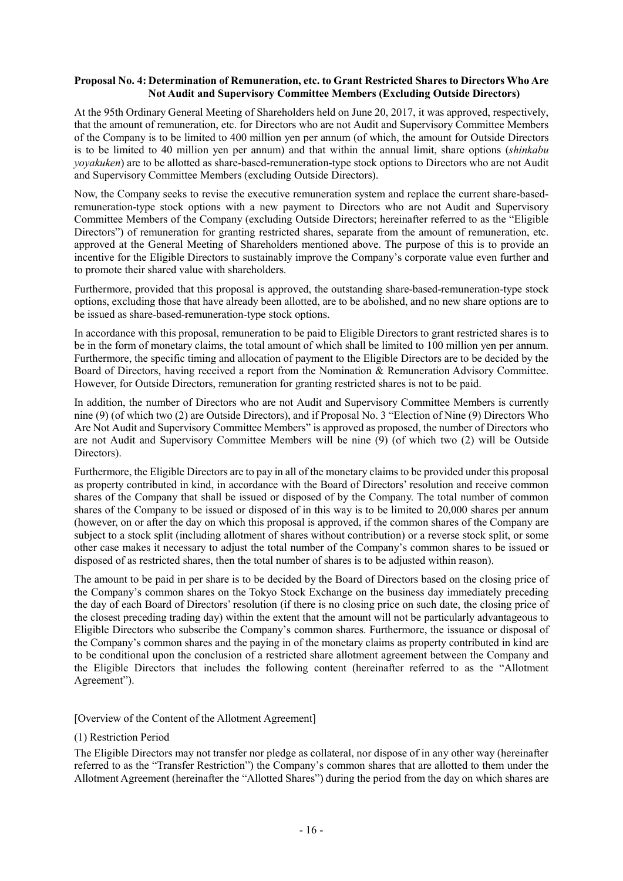#### Proposal No. 4: Determination of Remuneration, etc. to Grant Restricted Shares to Directors Who Are Not Audit and Supervisory Committee Members (Excluding Outside Directors)

At the 95th Ordinary General Meeting of Shareholders held on June 20, 2017, it was approved, respectively, that the amount of remuneration, etc. for Directors who are not Audit and Supervisory Committee Members of the Company is to be limited to 400 million yen per annum (of which, the amount for Outside Directors is to be limited to 40 million yen per annum) and that within the annual limit, share options (shinkabu yoyakuken) are to be allotted as share-based-remuneration-type stock options to Directors who are not Audit and Supervisory Committee Members (excluding Outside Directors).

Now, the Company seeks to revise the executive remuneration system and replace the current share-basedremuneration-type stock options with a new payment to Directors who are not Audit and Supervisory Committee Members of the Company (excluding Outside Directors; hereinafter referred to as the "Eligible Directors") of remuneration for granting restricted shares, separate from the amount of remuneration, etc. approved at the General Meeting of Shareholders mentioned above. The purpose of this is to provide an incentive for the Eligible Directors to sustainably improve the Company's corporate value even further and to promote their shared value with shareholders.

Furthermore, provided that this proposal is approved, the outstanding share-based-remuneration-type stock options, excluding those that have already been allotted, are to be abolished, and no new share options are to be issued as share-based-remuneration-type stock options.

In accordance with this proposal, remuneration to be paid to Eligible Directors to grant restricted shares is to be in the form of monetary claims, the total amount of which shall be limited to 100 million yen per annum. Furthermore, the specific timing and allocation of payment to the Eligible Directors are to be decided by the Board of Directors, having received a report from the Nomination & Remuneration Advisory Committee. However, for Outside Directors, remuneration for granting restricted shares is not to be paid.

In addition, the number of Directors who are not Audit and Supervisory Committee Members is currently nine (9) (of which two (2) are Outside Directors), and if Proposal No. 3 "Election of Nine (9) Directors Who Are Not Audit and Supervisory Committee Members" is approved as proposed, the number of Directors who are not Audit and Supervisory Committee Members will be nine (9) (of which two (2) will be Outside Directors).

Furthermore, the Eligible Directors are to pay in all of the monetary claims to be provided under this proposal as property contributed in kind, in accordance with the Board of Directors' resolution and receive common shares of the Company that shall be issued or disposed of by the Company. The total number of common shares of the Company to be issued or disposed of in this way is to be limited to 20,000 shares per annum (however, on or after the day on which this proposal is approved, if the common shares of the Company are subject to a stock split (including allotment of shares without contribution) or a reverse stock split, or some other case makes it necessary to adjust the total number of the Company's common shares to be issued or disposed of as restricted shares, then the total number of shares is to be adjusted within reason).

The amount to be paid in per share is to be decided by the Board of Directors based on the closing price of the Company's common shares on the Tokyo Stock Exchange on the business day immediately preceding the day of each Board of Directors' resolution (if there is no closing price on such date, the closing price of the closest preceding trading day) within the extent that the amount will not be particularly advantageous to Eligible Directors who subscribe the Company's common shares. Furthermore, the issuance or disposal of the Company's common shares and the paying in of the monetary claims as property contributed in kind are to be conditional upon the conclusion of a restricted share allotment agreement between the Company and the Eligible Directors that includes the following content (hereinafter referred to as the "Allotment Agreement").

[Overview of the Content of the Allotment Agreement]

#### (1) Restriction Period

The Eligible Directors may not transfer nor pledge as collateral, nor dispose of in any other way (hereinafter referred to as the "Transfer Restriction") the Company's common shares that are allotted to them under the Allotment Agreement (hereinafter the "Allotted Shares") during the period from the day on which shares are